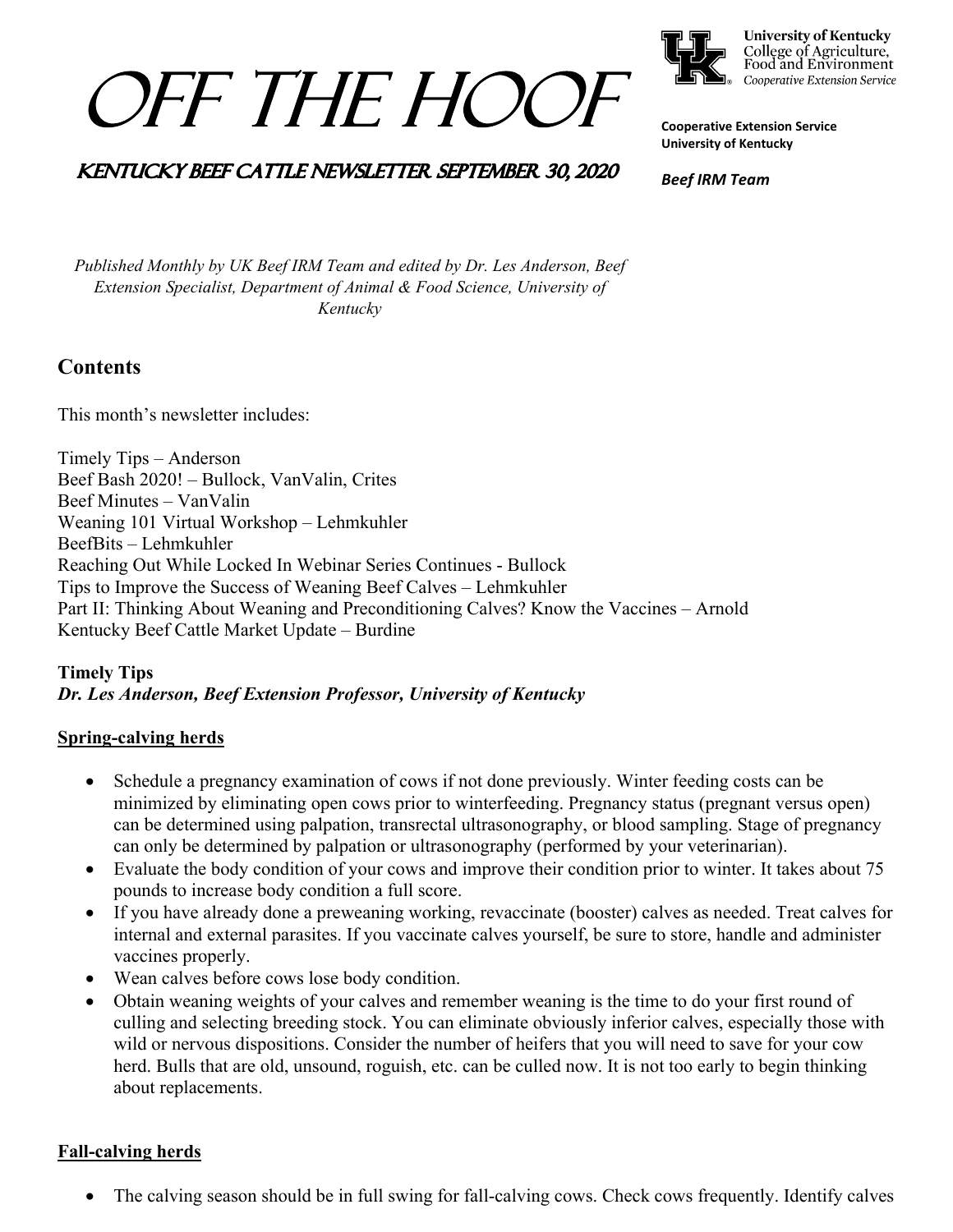



**University of Kentucky** College of Agriculture,<br>Food and Environment Cooperative Extension Service

**Cooperative Extension Service University of Kentucky**

# KENTUCKY BEEF CATTLE NEWSLETTER SEPTEMBER 30, 2020

*Beef IRM Team*

*Published Monthly by UK Beef IRM Team and edited by Dr. Les Anderson, Beef Extension Specialist, Department of Animal & Food Science, University of Kentucky* 

# **Contents**

This month's newsletter includes:

Timely Tips – Anderson Beef Bash 2020! – Bullock, VanValin, Crites Beef Minutes – VanValin Weaning 101 Virtual Workshop – Lehmkuhler BeefBits – Lehmkuhler Reaching Out While Locked In Webinar Series Continues - Bullock Tips to Improve the Success of Weaning Beef Calves – Lehmkuhler Part II: Thinking About Weaning and Preconditioning Calves? Know the Vaccines – Arnold Kentucky Beef Cattle Market Update – Burdine

# **Timely Tips** *Dr. Les Anderson, Beef Extension Professor, University of Kentucky*

# **Spring-calving herds**

- Schedule a pregnancy examination of cows if not done previously. Winter feeding costs can be minimized by eliminating open cows prior to winterfeeding. Pregnancy status (pregnant versus open) can be determined using palpation, transrectal ultrasonography, or blood sampling. Stage of pregnancy can only be determined by palpation or ultrasonography (performed by your veterinarian).
- Evaluate the body condition of your cows and improve their condition prior to winter. It takes about 75 pounds to increase body condition a full score.
- If you have already done a preweaning working, revaccinate (booster) calves as needed. Treat calves for internal and external parasites. If you vaccinate calves yourself, be sure to store, handle and administer vaccines properly.
- Wean calves before cows lose body condition.
- Obtain weaning weights of your calves and remember weaning is the time to do your first round of culling and selecting breeding stock. You can eliminate obviously inferior calves, especially those with wild or nervous dispositions. Consider the number of heifers that you will need to save for your cow herd. Bulls that are old, unsound, roguish, etc. can be culled now. It is not too early to begin thinking about replacements.

# **Fall-calving herds**

The calving season should be in full swing for fall-calving cows. Check cows frequently. Identify calves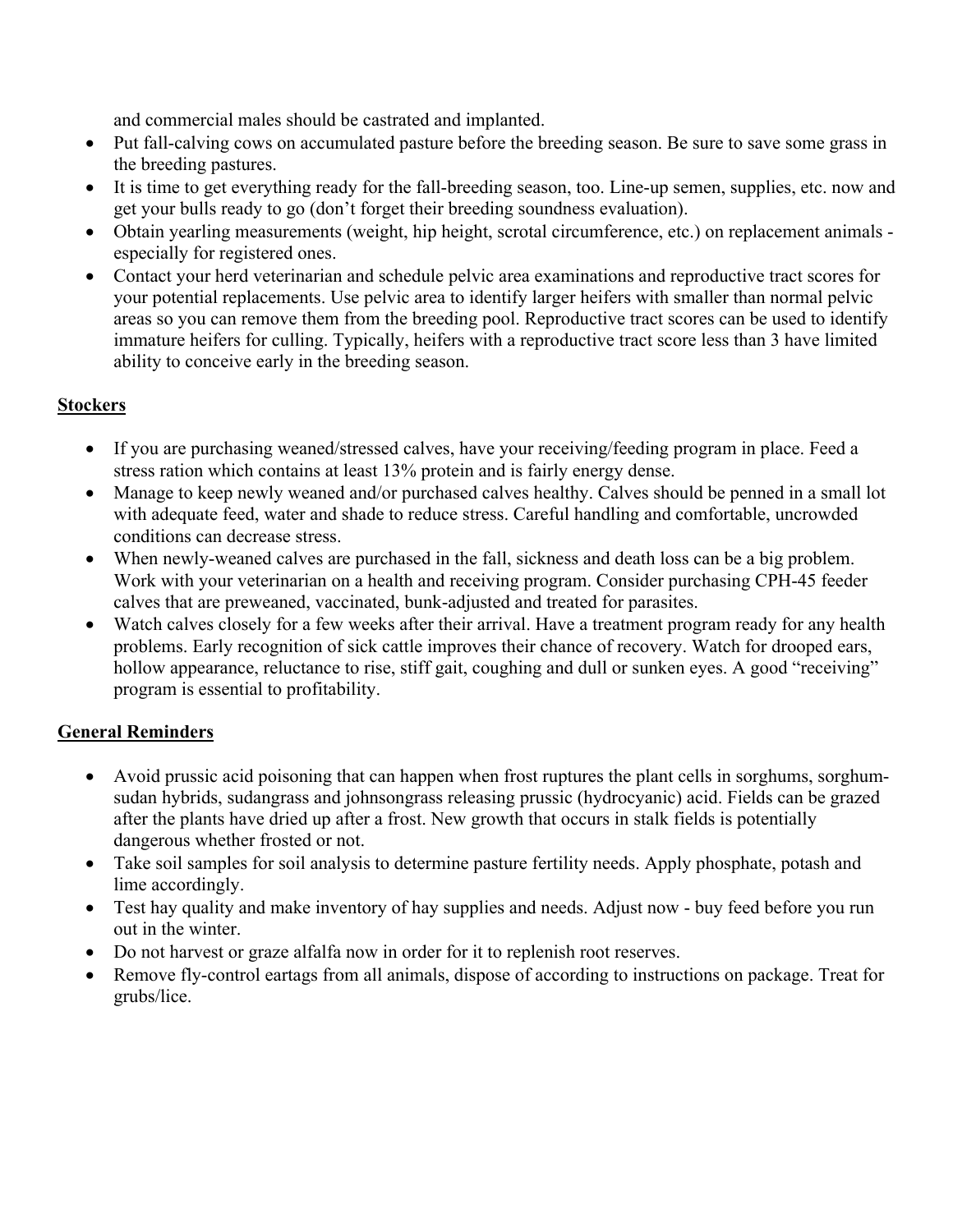and commercial males should be castrated and implanted.

- Put fall-calving cows on accumulated pasture before the breeding season. Be sure to save some grass in the breeding pastures.
- It is time to get everything ready for the fall-breeding season, too. Line-up semen, supplies, etc. now and get your bulls ready to go (don't forget their breeding soundness evaluation).
- Obtain yearling measurements (weight, hip height, scrotal circumference, etc.) on replacement animals especially for registered ones.
- Contact your herd veterinarian and schedule pelvic area examinations and reproductive tract scores for your potential replacements. Use pelvic area to identify larger heifers with smaller than normal pelvic areas so you can remove them from the breeding pool. Reproductive tract scores can be used to identify immature heifers for culling. Typically, heifers with a reproductive tract score less than 3 have limited ability to conceive early in the breeding season.

#### **Stockers**

- If you are purchasing weaned/stressed calves, have your receiving/feeding program in place. Feed a stress ration which contains at least 13% protein and is fairly energy dense.
- Manage to keep newly weaned and/or purchased calves healthy. Calves should be penned in a small lot with adequate feed, water and shade to reduce stress. Careful handling and comfortable, uncrowded conditions can decrease stress.
- When newly-weaned calves are purchased in the fall, sickness and death loss can be a big problem. Work with your veterinarian on a health and receiving program. Consider purchasing CPH-45 feeder calves that are preweaned, vaccinated, bunk-adjusted and treated for parasites.
- Watch calves closely for a few weeks after their arrival. Have a treatment program ready for any health problems. Early recognition of sick cattle improves their chance of recovery. Watch for drooped ears, hollow appearance, reluctance to rise, stiff gait, coughing and dull or sunken eyes. A good "receiving" program is essential to profitability.

#### **General Reminders**

- Avoid prussic acid poisoning that can happen when frost ruptures the plant cells in sorghums, sorghumsudan hybrids, sudangrass and johnsongrass releasing prussic (hydrocyanic) acid. Fields can be grazed after the plants have dried up after a frost. New growth that occurs in stalk fields is potentially dangerous whether frosted or not.
- Take soil samples for soil analysis to determine pasture fertility needs. Apply phosphate, potash and lime accordingly.
- Test hay quality and make inventory of hay supplies and needs. Adjust now buy feed before you run out in the winter.
- Do not harvest or graze alfalfa now in order for it to replenish root reserves.
- Remove fly-control eartags from all animals, dispose of according to instructions on package. Treat for grubs/lice.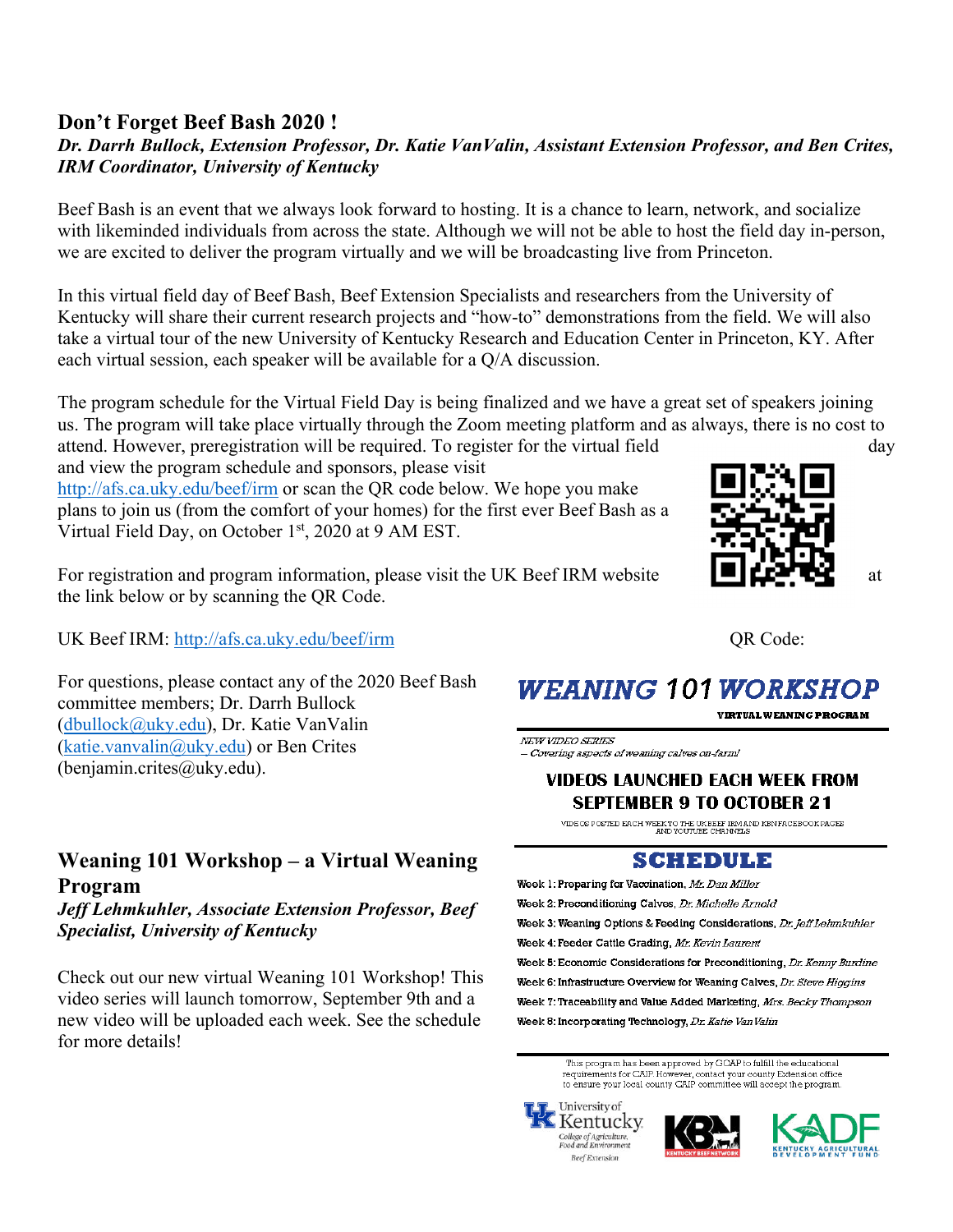# **Don't Forget Beef Bash 2020 !**

### *Dr. Darrh Bullock, Extension Professor, Dr. Katie VanValin, Assistant Extension Professor, and Ben Crites, IRM Coordinator, University of Kentucky*

Beef Bash is an event that we always look forward to hosting. It is a chance to learn, network, and socialize with likeminded individuals from across the state. Although we will not be able to host the field day in-person, we are excited to deliver the program virtually and we will be broadcasting live from Princeton.

In this virtual field day of Beef Bash, Beef Extension Specialists and researchers from the University of Kentucky will share their current research projects and "how-to" demonstrations from the field. We will also take a virtual tour of the new University of Kentucky Research and Education Center in Princeton, KY. After each virtual session, each speaker will be available for a Q/A discussion.

The program schedule for the Virtual Field Day is being finalized and we have a great set of speakers joining us. The program will take place virtually through the Zoom meeting platform and as always, there is no cost to attend. However, preregistration will be required. To register for the virtual field day and view the program schedule and sponsors, please visit

http://afs.ca.uky.edu/beef/irm or scan the QR code below. We hope you make plans to join us (from the comfort of your homes) for the first ever Beef Bash as a Virtual Field Day, on October 1<sup>st</sup>, 2020 at 9 AM EST.

For registration and program information, please visit the UK Beef IRM website  $\Box$ the link below or by scanning the QR Code.

UK Beef IRM: http://afs.ca.uky.edu/beef/irm **QR Code:** 

For questions, please contact any of the 2020 Beef Bash committee members; Dr. Darrh Bullock (dbullock@uky.edu), Dr. Katie VanValin (katie.vanvalin@uky.edu) or Ben Crites (benjamin.crites@uky.edu).

# **Weaning 101 Workshop – a Virtual Weaning Program**

*Jeff Lehmkuhler, Associate Extension Professor, Beef Specialist, University of Kentucky* 

Check out our new virtual Weaning 101 Workshop! This video series will launch tomorrow, September 9th and a new video will be uploaded each week. See the schedule for more details!



# **WEANING 101 WORKSHOP**

**VIRTUAL WEANING PROGRAM** 

NEW VIDEO SERIES - Covering aspects of weaning calves on-farm!

#### VIDEOS LAUNCHED EACH WEEK FROM **SEPTEMBER 9 TO OCTOBER 21**

VIDEOS POSTED EACH WEEK TO THE UK BEEF IRM AND KBN FACEBOOK PAGES AND YOUTUBE CHANNELS

#### SCHEDULE

Week 1: Preparing for Vaccination, Mr. Dan Miller Week 2: Preconditioning Calves, Dr. Michelle Arnold Week 3: Weaning Options & Feeding Considerations, Dr. Jeff Lehmkuhler Week 4: Feeder Cattle Grading, Mr. Kevin Laurent Week 5: Economic Considerations for Preconditioning, Dr. Kenny Burdine Week 6: Infrastructure Overview for Weaning Calves, Dr. Steve Higgins Week 7: Traceability and Value Added Marketing, Mrs. Becky Thompson Week 8: Incorporating Technology, Dr. Katie Van Valin

> This program has been approved by GOAP to fulfill the educational<br>requirements for CAIP. However, contact your county Extension office to ensure your local county CAIP committee will accept the program.





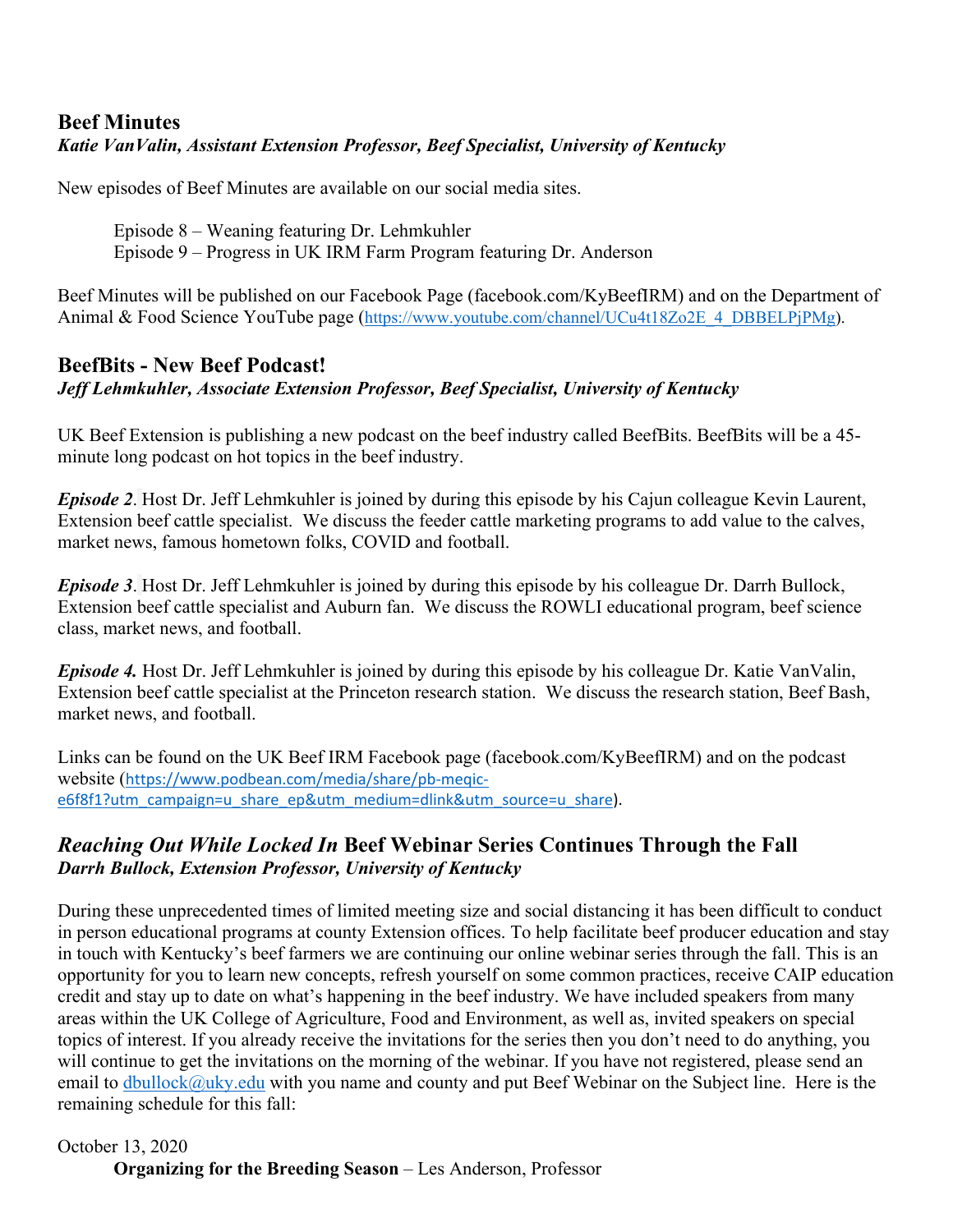# **Beef Minutes**  *Katie VanValin, Assistant Extension Professor, Beef Specialist, University of Kentucky*

New episodes of Beef Minutes are available on our social media sites.

Episode 8 – Weaning featuring Dr. Lehmkuhler

Episode 9 – Progress in UK IRM Farm Program featuring Dr. Anderson

Beef Minutes will be published on our Facebook Page (facebook.com/KyBeefIRM) and on the Department of Animal & Food Science YouTube page (https://www.youtube.com/channel/UCu4t18Zo2E\_4\_DBBELPjPMg).

# **BeefBits - New Beef Podcast!**  *Jeff Lehmkuhler, Associate Extension Professor, Beef Specialist, University of Kentucky*

UK Beef Extension is publishing a new podcast on the beef industry called BeefBits. BeefBits will be a 45 minute long podcast on hot topics in the beef industry.

*Episode 2*. Host Dr. Jeff Lehmkuhler is joined by during this episode by his Cajun colleague Kevin Laurent, Extension beef cattle specialist. We discuss the feeder cattle marketing programs to add value to the calves, market news, famous hometown folks, COVID and football.

*Episode 3*. Host Dr. Jeff Lehmkuhler is joined by during this episode by his colleague Dr. Darrh Bullock, Extension beef cattle specialist and Auburn fan. We discuss the ROWLI educational program, beef science class, market news, and football.

*Episode 4.* Host Dr. Jeff Lehmkuhler is joined by during this episode by his colleague Dr. Katie VanValin, Extension beef cattle specialist at the Princeton research station. We discuss the research station, Beef Bash, market news, and football.

Links can be found on the UK Beef IRM Facebook page (facebook.com/KyBeefIRM) and on the podcast website (https://www.podbean.com/media/share/pb‐meqic‐ e6f8f1?utm\_campaign=u\_share\_ep&utm\_medium=dlink&utm\_source=u\_share).

# *Reaching Out While Locked In* **Beef Webinar Series Continues Through the Fall**  *Darrh Bullock, Extension Professor, University of Kentucky*

During these unprecedented times of limited meeting size and social distancing it has been difficult to conduct in person educational programs at county Extension offices. To help facilitate beef producer education and stay in touch with Kentucky's beef farmers we are continuing our online webinar series through the fall. This is an opportunity for you to learn new concepts, refresh yourself on some common practices, receive CAIP education credit and stay up to date on what's happening in the beef industry. We have included speakers from many areas within the UK College of Agriculture, Food and Environment, as well as, invited speakers on special topics of interest. If you already receive the invitations for the series then you don't need to do anything, you will continue to get the invitations on the morning of the webinar. If you have not registered, please send an email to dbullock@uky.edu with you name and county and put Beef Webinar on the Subject line. Here is the remaining schedule for this fall:

#### October 13, 2020 **Organizing for the Breeding Season** – Les Anderson, Professor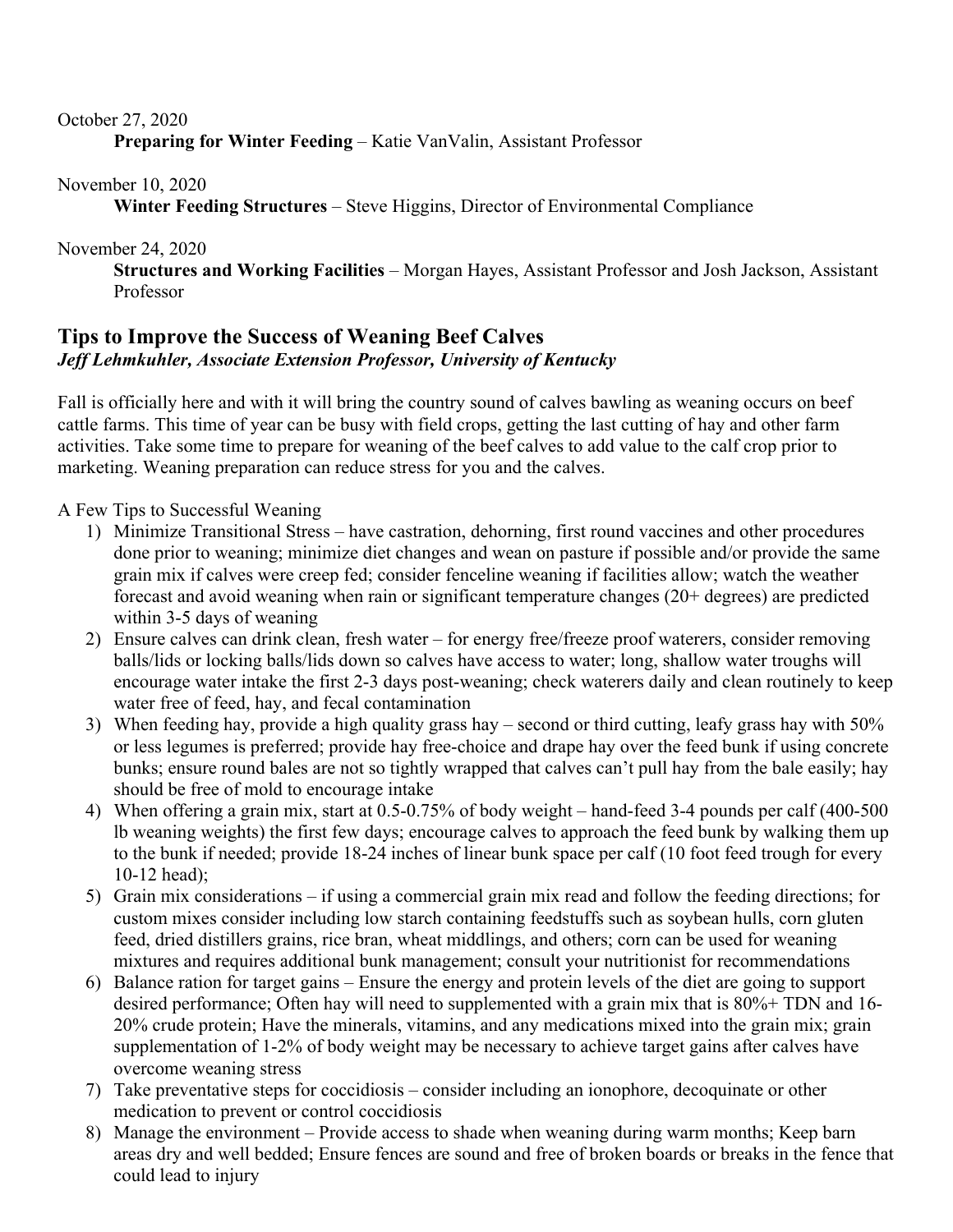#### October 27, 2020

**Preparing for Winter Feeding** – Katie VanValin, Assistant Professor

November 10, 2020

**Winter Feeding Structures** – Steve Higgins, Director of Environmental Compliance

November 24, 2020

**Structures and Working Facilities** – Morgan Hayes, Assistant Professor and Josh Jackson, Assistant Professor

# **Tips to Improve the Success of Weaning Beef Calves**  *Jeff Lehmkuhler, Associate Extension Professor, University of Kentucky*

Fall is officially here and with it will bring the country sound of calves bawling as weaning occurs on beef cattle farms. This time of year can be busy with field crops, getting the last cutting of hay and other farm activities. Take some time to prepare for weaning of the beef calves to add value to the calf crop prior to marketing. Weaning preparation can reduce stress for you and the calves.

A Few Tips to Successful Weaning

- 1) Minimize Transitional Stress have castration, dehorning, first round vaccines and other procedures done prior to weaning; minimize diet changes and wean on pasture if possible and/or provide the same grain mix if calves were creep fed; consider fenceline weaning if facilities allow; watch the weather forecast and avoid weaning when rain or significant temperature changes (20+ degrees) are predicted within 3-5 days of weaning
- 2) Ensure calves can drink clean, fresh water for energy free/freeze proof waterers, consider removing balls/lids or locking balls/lids down so calves have access to water; long, shallow water troughs will encourage water intake the first 2-3 days post-weaning; check waterers daily and clean routinely to keep water free of feed, hay, and fecal contamination
- 3) When feeding hay, provide a high quality grass hay second or third cutting, leafy grass hay with 50% or less legumes is preferred; provide hay free-choice and drape hay over the feed bunk if using concrete bunks; ensure round bales are not so tightly wrapped that calves can't pull hay from the bale easily; hay should be free of mold to encourage intake
- 4) When offering a grain mix, start at 0.5-0.75% of body weight hand-feed 3-4 pounds per calf (400-500 lb weaning weights) the first few days; encourage calves to approach the feed bunk by walking them up to the bunk if needed; provide 18-24 inches of linear bunk space per calf (10 foot feed trough for every 10-12 head);
- 5) Grain mix considerations if using a commercial grain mix read and follow the feeding directions; for custom mixes consider including low starch containing feedstuffs such as soybean hulls, corn gluten feed, dried distillers grains, rice bran, wheat middlings, and others; corn can be used for weaning mixtures and requires additional bunk management; consult your nutritionist for recommendations
- 6) Balance ration for target gains Ensure the energy and protein levels of the diet are going to support desired performance; Often hay will need to supplemented with a grain mix that is 80%+ TDN and 16- 20% crude protein; Have the minerals, vitamins, and any medications mixed into the grain mix; grain supplementation of 1-2% of body weight may be necessary to achieve target gains after calves have overcome weaning stress
- 7) Take preventative steps for coccidiosis consider including an ionophore, decoquinate or other medication to prevent or control coccidiosis
- 8) Manage the environment Provide access to shade when weaning during warm months; Keep barn areas dry and well bedded; Ensure fences are sound and free of broken boards or breaks in the fence that could lead to injury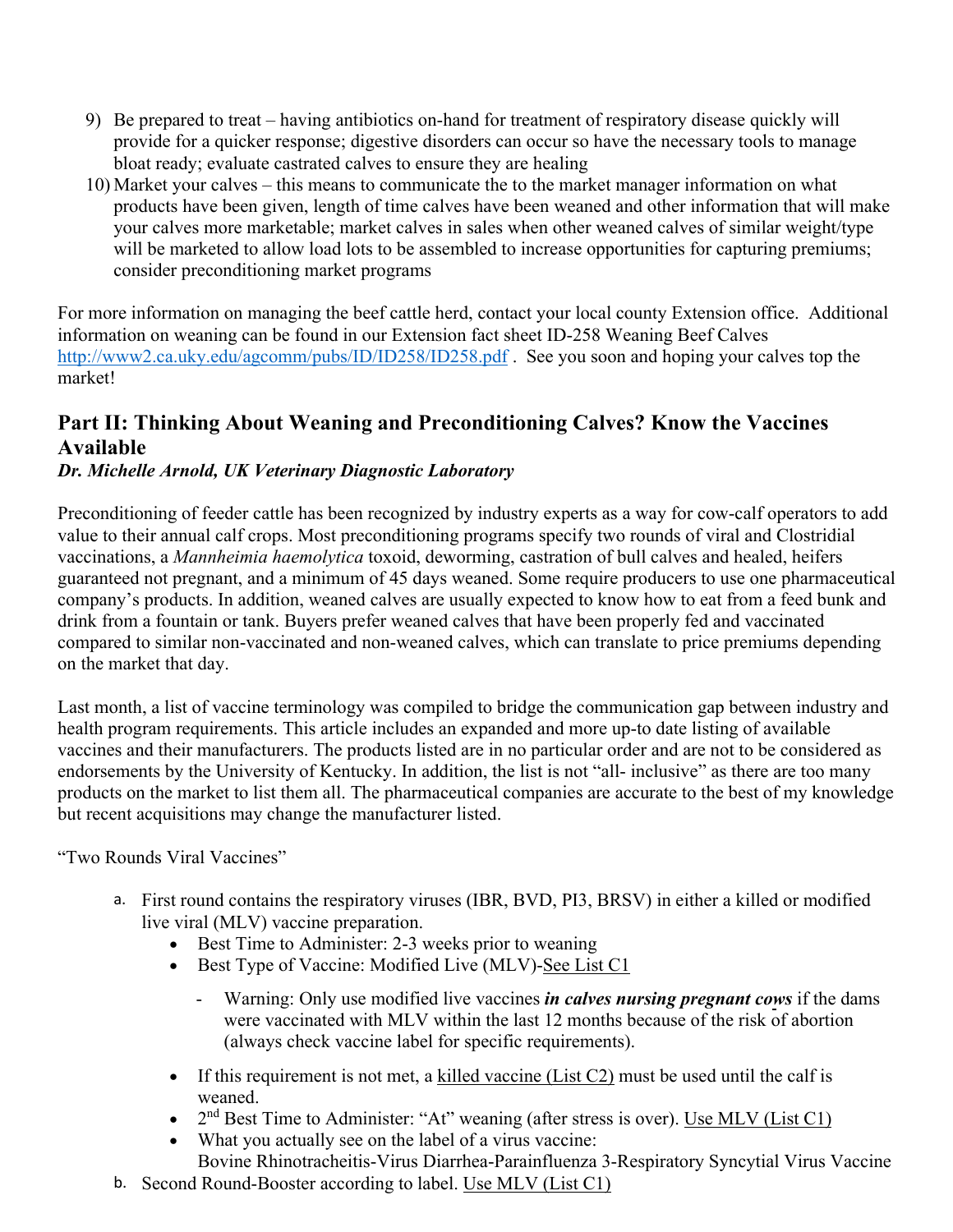- 9) Be prepared to treat having antibiotics on-hand for treatment of respiratory disease quickly will provide for a quicker response; digestive disorders can occur so have the necessary tools to manage bloat ready; evaluate castrated calves to ensure they are healing
- 10) Market your calves this means to communicate the to the market manager information on what products have been given, length of time calves have been weaned and other information that will make your calves more marketable; market calves in sales when other weaned calves of similar weight/type will be marketed to allow load lots to be assembled to increase opportunities for capturing premiums; consider preconditioning market programs

For more information on managing the beef cattle herd, contact your local county Extension office. Additional information on weaning can be found in our Extension fact sheet ID-258 Weaning Beef Calves http://www2.ca.uky.edu/agcomm/pubs/ID/ID258/ID258.pdf. See you soon and hoping your calves top the market!

# **Part II: Thinking About Weaning and Preconditioning Calves? Know the Vaccines Available**

# *Dr. Michelle Arnold, UK Veterinary Diagnostic Laboratory*

Preconditioning of feeder cattle has been recognized by industry experts as a way for cow-calf operators to add value to their annual calf crops. Most preconditioning programs specify two rounds of viral and Clostridial vaccinations, a *Mannheimia haemolytica* toxoid, deworming, castration of bull calves and healed, heifers guaranteed not pregnant, and a minimum of 45 days weaned. Some require producers to use one pharmaceutical company's products. In addition, weaned calves are usually expected to know how to eat from a feed bunk and drink from a fountain or tank. Buyers prefer weaned calves that have been properly fed and vaccinated compared to similar non-vaccinated and non-weaned calves, which can translate to price premiums depending on the market that day.

Last month, a list of vaccine terminology was compiled to bridge the communication gap between industry and health program requirements. This article includes an expanded and more up-to date listing of available vaccines and their manufacturers. The products listed are in no particular order and are not to be considered as endorsements by the University of Kentucky. In addition, the list is not "all- inclusive" as there are too many products on the market to list them all. The pharmaceutical companies are accurate to the best of my knowledge but recent acquisitions may change the manufacturer listed.

"Two Rounds Viral Vaccines"

- a. First round contains the respiratory viruses (IBR, BVD, PI3, BRSV) in either a killed or modified live viral (MLV) vaccine preparation.
	- Best Time to Administer: 2-3 weeks prior to weaning
	- Best Type of Vaccine: Modified Live (MLV)-See List C1
		- Warning: Only use modified live vaccines *in calves nursing pregnant cows* if the dams were vaccinated with MLV within the last 12 months because of the risk of abortion (always check vaccine label for specific requirements).
	- If this requirement is not met, a killed vaccine (List C2) must be used until the calf is weaned.
	- $\bullet$  2<sup>nd</sup> Best Time to Administer: "At" weaning (after stress is over). <u>Use MLV (List C1)</u>
	- What you actually see on the label of a virus vaccine:
	- Bovine Rhinotracheitis-Virus Diarrhea-Parainfluenza 3-Respiratory Syncytial Virus Vaccine
- b. Second Round-Booster according to label. Use MLV (List C1)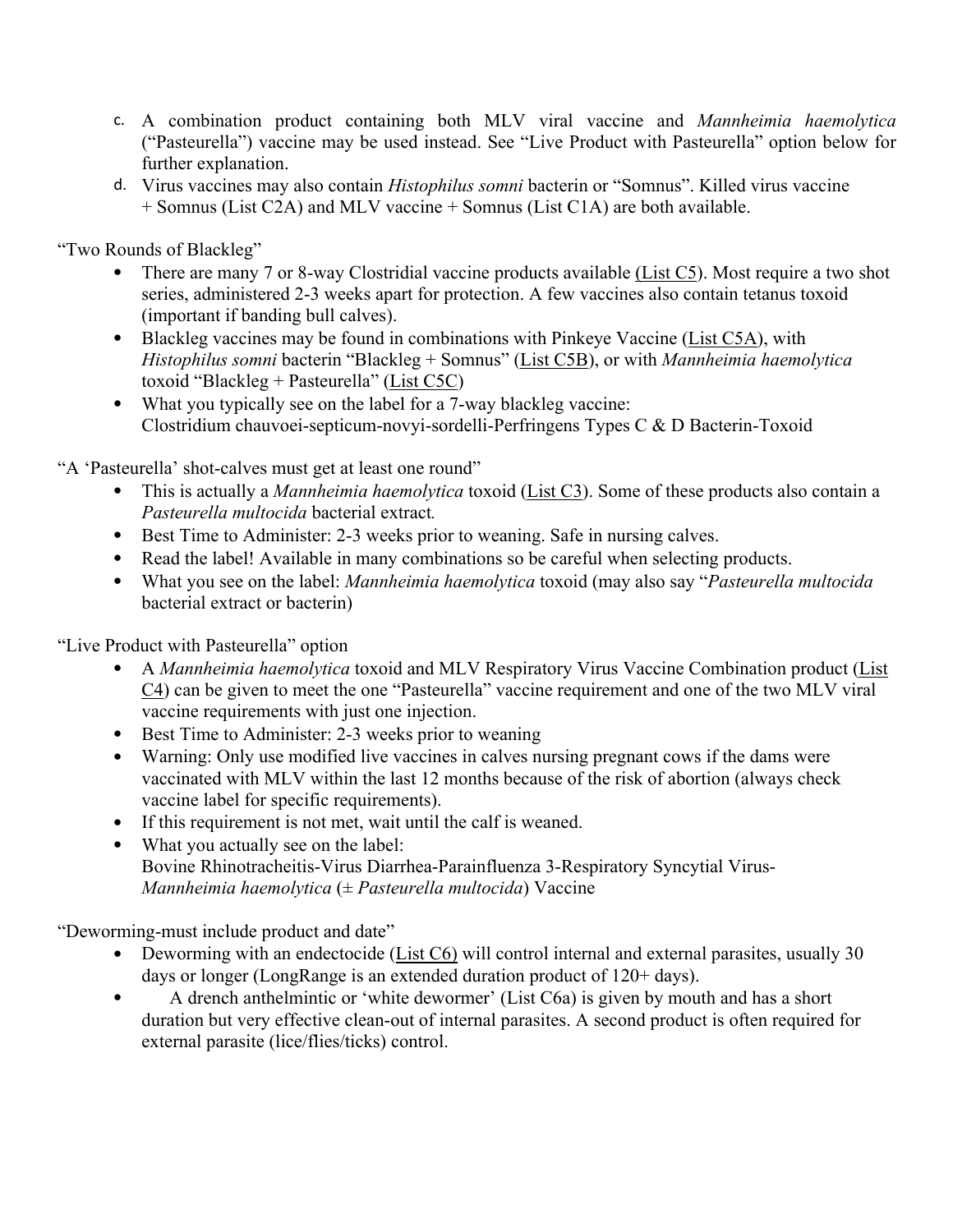- c. A combination product containing both MLV viral vaccine and *Mannheimia haemolytica*  ("Pasteurella") vaccine may be used instead. See "Live Product with Pasteurella" option below for further explanation.
- d. Virus vaccines may also contain *Histophilus somni* bacterin or "Somnus". Killed virus vaccine + Somnus (List C2A) and MLV vaccine + Somnus (List C1A) are both available.

"Two Rounds of Blackleg"

- There are many 7 or 8-way Clostridial vaccine products available (List C5). Most require a two shot series, administered 2-3 weeks apart for protection. A few vaccines also contain tetanus toxoid (important if banding bull calves).
- $\bullet$  Blackleg vaccines may be found in combinations with Pinkeye Vaccine (List C5A), with *Histophilus somni* bacterin "Blackleg + Somnus" (List C5B), or with *Mannheimia haemolytica*  toxoid "Blackleg + Pasteurella" (List C5C)
- What you typically see on the label for a 7-way blackleg vaccine: Clostridium chauvoei-septicum-novyi-sordelli-Perfringens Types C & D Bacterin-Toxoid

"A 'Pasteurella' shot-calves must get at least one round"

- This is actually a *Mannheimia haemolytica* toxoid (List C3). Some of these products also contain a *Pasteurella multocida* bacterial extract*.*
- Best Time to Administer: 2-3 weeks prior to weaning. Safe in nursing calves.
- Read the label! Available in many combinations so be careful when selecting products.
- What you see on the label: *Mannheimia haemolytica* toxoid (may also say "*Pasteurella multocida*  bacterial extract or bacterin)

"Live Product with Pasteurella" option

- A *Mannheimia haemolytica* toxoid and MLV Respiratory Virus Vaccine Combination product (List  $C_4$ ) can be given to meet the one "Pasteurella" vaccine requirement and one of the two MLV viral vaccine requirements with just one injection.
- Best Time to Administer: 2-3 weeks prior to weaning
- Warning: Only use modified live vaccines in calves nursing pregnant cows if the dams were vaccinated with MLV within the last 12 months because of the risk of abortion (always check vaccine label for specific requirements).
- If this requirement is not met, wait until the calf is weaned.
- What you actually see on the label: Bovine Rhinotracheitis-Virus Diarrhea-Parainfluenza 3-Respiratory Syncytial Virus-*Mannheimia haemolytica* (± *Pasteurella multocida*) Vaccine

"Deworming-must include product and date"

- Deworming with an endectocide ( $List C6$ ) will control internal and external parasites, usually 30 days or longer (LongRange is an extended duration product of 120+ days).
- A drench anthelmintic or 'white dewormer' (List C6a) is given by mouth and has a short duration but very effective clean-out of internal parasites. A second product is often required for external parasite (lice/flies/ticks) control.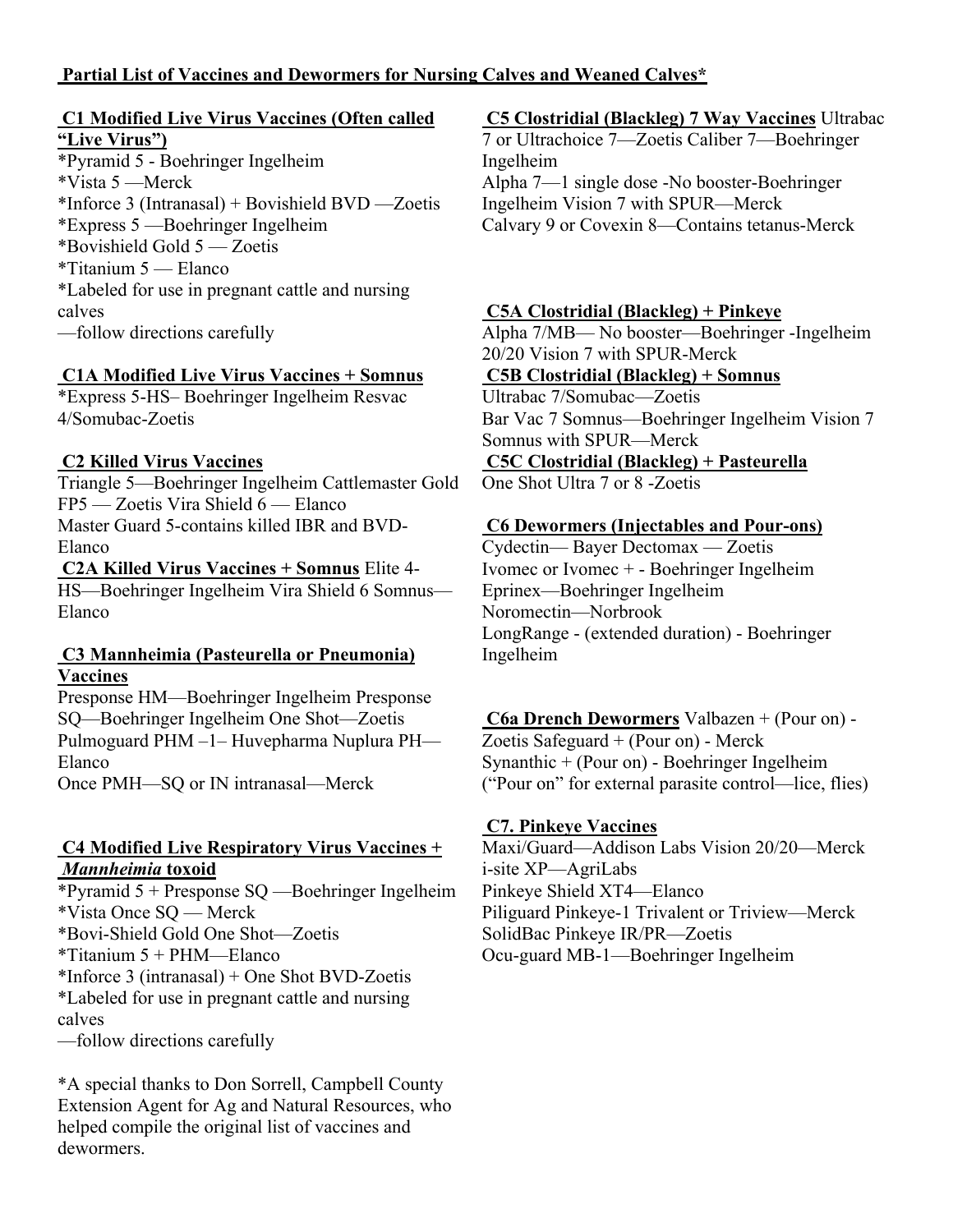#### **Partial List of Vaccines and Dewormers for Nursing Calves and Weaned Calves\***

#### **C1 Modified Live Virus Vaccines (Often called "Live Virus")**

\*Pyramid 5 - Boehringer Ingelheim \*Vista 5 —Merck \*Inforce 3 (Intranasal) + Bovishield BVD —Zoetis \*Express 5 —Boehringer Ingelheim \*Bovishield Gold 5 — Zoetis \*Titanium 5 — Elanco \*Labeled for use in pregnant cattle and nursing calves —follow directions carefully

#### **C1A Modified Live Virus Vaccines + Somnus**

\*Express 5-HS– Boehringer Ingelheim Resvac 4/Somubac-Zoetis

#### **C2 Killed Virus Vaccines**

Triangle 5—Boehringer Ingelheim Cattlemaster Gold FP5 — Zoetis Vira Shield 6 — Elanco Master Guard 5-contains killed IBR and BVD-Elanco

**C2A Killed Virus Vaccines + Somnus** Elite 4- HS—Boehringer Ingelheim Vira Shield 6 Somnus— Elanco

#### **C3 Mannheimia (Pasteurella or Pneumonia) Vaccines**

Presponse HM—Boehringer Ingelheim Presponse SQ—Boehringer Ingelheim One Shot—Zoetis Pulmoguard PHM –1– Huvepharma Nuplura PH— Elanco

Once PMH—SQ or IN intranasal—Merck

#### **C4 Modified Live Respiratory Virus Vaccines +**  *Mannheimia* **toxoid**

\*Pyramid 5 + Presponse SQ —Boehringer Ingelheim \*Vista Once SQ — Merck \*Bovi-Shield Gold One Shot—Zoetis \*Titanium 5 + PHM—Elanco \*Inforce 3 (intranasal) + One Shot BVD-Zoetis \*Labeled for use in pregnant cattle and nursing calves

—follow directions carefully

\*A special thanks to Don Sorrell, Campbell County Extension Agent for Ag and Natural Resources, who helped compile the original list of vaccines and dewormers.

#### **C5 Clostridial (Blackleg) 7 Way Vaccines** Ultrabac

7 or Ultrachoice 7—Zoetis Caliber 7—Boehringer Ingelheim

Alpha 7—1 single dose -No booster-Boehringer Ingelheim Vision 7 with SPUR—Merck Calvary 9 or Covexin 8—Contains tetanus-Merck

#### **C5A Clostridial (Blackleg) + Pinkeye**

Alpha 7/MB— No booster—Boehringer -Ingelheim 20/20 Vision 7 with SPUR-Merck

#### **C5B Clostridial (Blackleg) + Somnus**

Ultrabac 7/Somubac—Zoetis Bar Vac 7 Somnus—Boehringer Ingelheim Vision 7 Somnus with SPUR—Merck

**C5C Clostridial (Blackleg) + Pasteurella**  One Shot Ultra 7 or 8 -Zoetis

#### **C6 Dewormers (Injectables and Pour-ons)**

Cydectin— Bayer Dectomax — Zoetis Ivomec or Ivomec + - Boehringer Ingelheim Eprinex—Boehringer Ingelheim Noromectin—Norbrook LongRange - (extended duration) - Boehringer Ingelheim

**C6a Drench Dewormers** Valbazen + (Pour on) - Zoetis Safeguard + (Pour on) - Merck Synanthic + (Pour on) - Boehringer Ingelheim ("Pour on" for external parasite control—lice, flies)

#### **C7. Pinkeye Vaccines**

Maxi/Guard—Addison Labs Vision 20/20—Merck i-site XP—AgriLabs Pinkeye Shield XT4—Elanco Piliguard Pinkeye-1 Trivalent or Triview—Merck SolidBac Pinkeye IR/PR—Zoetis Ocu-guard MB-1—Boehringer Ingelheim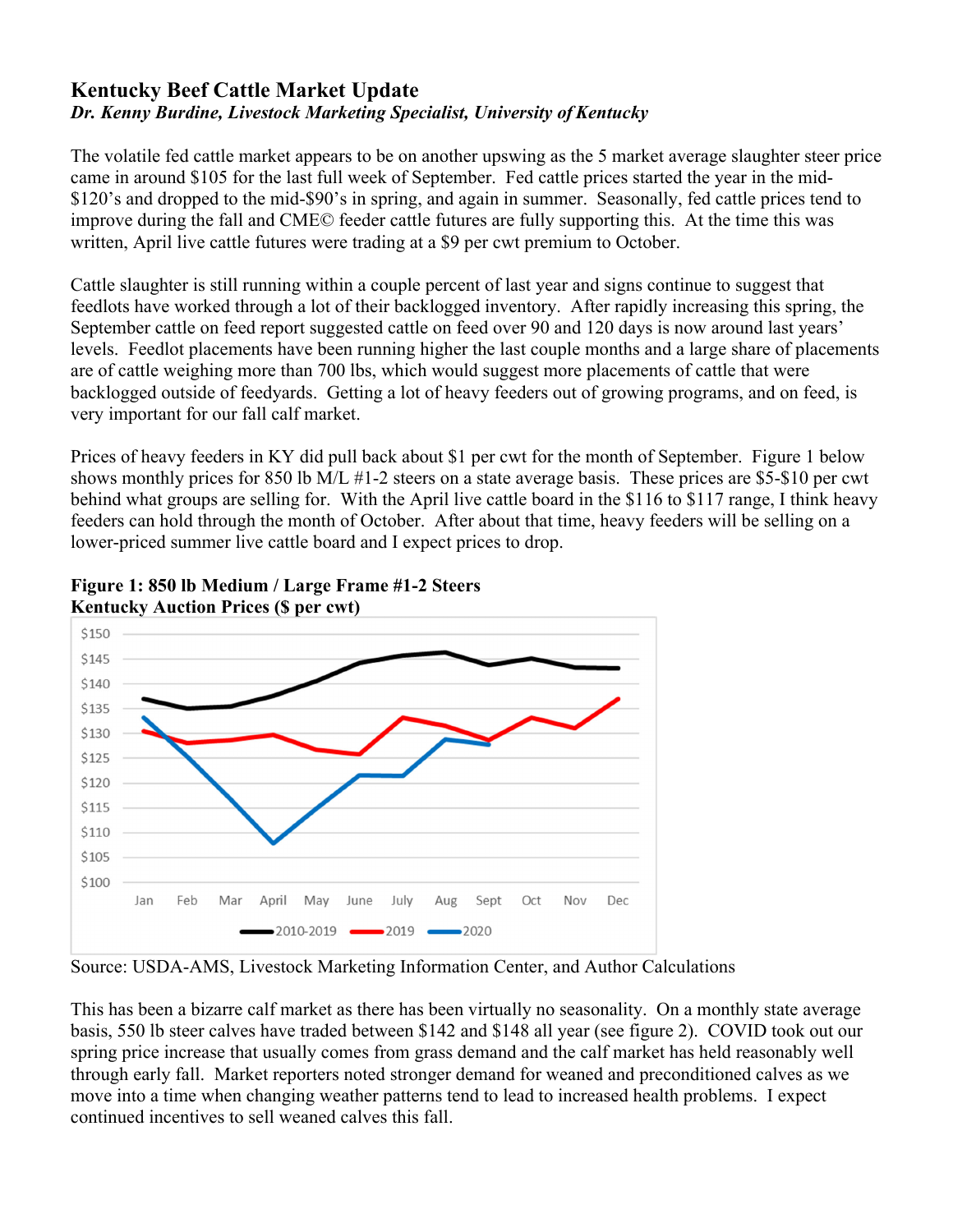# **Kentucky Beef Cattle Market Update** *Dr. Kenny Burdine, Livestock Marketing Specialist, University of Kentucky*

The volatile fed cattle market appears to be on another upswing as the 5 market average slaughter steer price came in around \$105 for the last full week of September. Fed cattle prices started the year in the mid- \$120's and dropped to the mid-\$90's in spring, and again in summer. Seasonally, fed cattle prices tend to improve during the fall and CME© feeder cattle futures are fully supporting this. At the time this was written, April live cattle futures were trading at a \$9 per cwt premium to October.

Cattle slaughter is still running within a couple percent of last year and signs continue to suggest that feedlots have worked through a lot of their backlogged inventory. After rapidly increasing this spring, the September cattle on feed report suggested cattle on feed over 90 and 120 days is now around last years' levels. Feedlot placements have been running higher the last couple months and a large share of placements are of cattle weighing more than 700 lbs, which would suggest more placements of cattle that were backlogged outside of feedyards. Getting a lot of heavy feeders out of growing programs, and on feed, is very important for our fall calf market.

Prices of heavy feeders in KY did pull back about \$1 per cwt for the month of September. Figure 1 below shows monthly prices for 850 lb M/L #1-2 steers on a state average basis. These prices are \$5-\$10 per cwt behind what groups are selling for. With the April live cattle board in the \$116 to \$117 range, I think heavy feeders can hold through the month of October. After about that time, heavy feeders will be selling on a lower-priced summer live cattle board and I expect prices to drop.



**Figure 1: 850 lb Medium / Large Frame #1-2 Steers Kentucky Auction Prices (\$ per cwt)** 

Source: USDA-AMS, Livestock Marketing Information Center, and Author Calculations

This has been a bizarre calf market as there has been virtually no seasonality. On a monthly state average basis, 550 lb steer calves have traded between \$142 and \$148 all year (see figure 2). COVID took out our spring price increase that usually comes from grass demand and the calf market has held reasonably well through early fall. Market reporters noted stronger demand for weaned and preconditioned calves as we move into a time when changing weather patterns tend to lead to increased health problems. I expect continued incentives to sell weaned calves this fall.